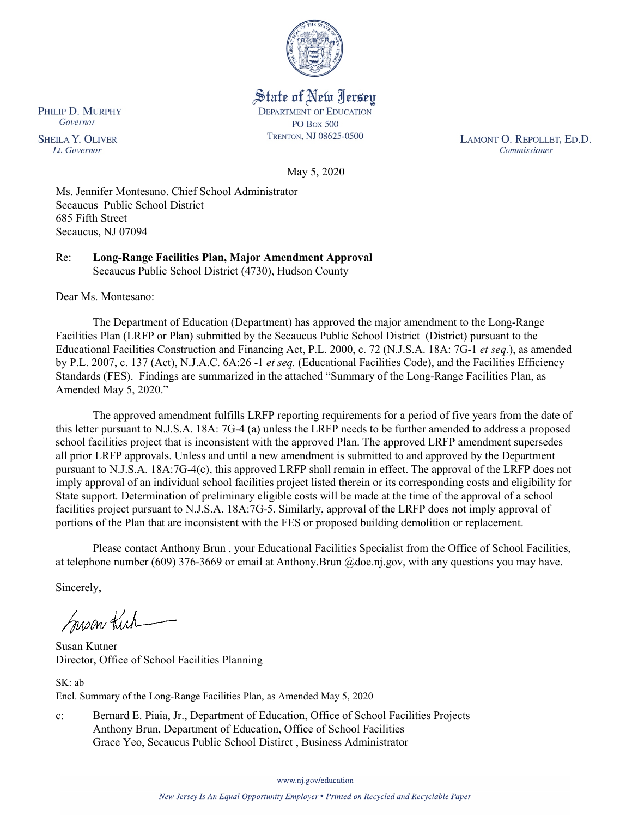

### State of New Jersey **DEPARTMENT OF EDUCATION PO Box 500** TRENTON, NJ 08625-0500

LAMONT O. REPOLLET, ED.D. Commissioner

May 5, 2020

Ms. Jennifer Montesano. Chief School Administrator Secaucus Public School District 685 Fifth Street Secaucus, NJ 07094

Re: **Long-Range Facilities Plan, Major Amendment Approval** Secaucus Public School District (4730), Hudson County

Dear Ms. Montesano:

The Department of Education (Department) has approved the major amendment to the Long-Range Facilities Plan (LRFP or Plan) submitted by the Secaucus Public School District (District) pursuant to the Educational Facilities Construction and Financing Act, P.L. 2000, c. 72 (N.J.S.A. 18A: 7G-1 *et seq.*), as amended by P.L. 2007, c. 137 (Act), N.J.A.C. 6A:26 -1 *et seq.* (Educational Facilities Code), and the Facilities Efficiency Standards (FES). Findings are summarized in the attached "Summary of the Long-Range Facilities Plan, as Amended May 5, 2020."

The approved amendment fulfills LRFP reporting requirements for a period of five years from the date of this letter pursuant to N.J.S.A. 18A: 7G-4 (a) unless the LRFP needs to be further amended to address a proposed school facilities project that is inconsistent with the approved Plan. The approved LRFP amendment supersedes all prior LRFP approvals. Unless and until a new amendment is submitted to and approved by the Department pursuant to N.J.S.A. 18A:7G-4(c), this approved LRFP shall remain in effect. The approval of the LRFP does not imply approval of an individual school facilities project listed therein or its corresponding costs and eligibility for State support. Determination of preliminary eligible costs will be made at the time of the approval of a school facilities project pursuant to N.J.S.A. 18A:7G-5. Similarly, approval of the LRFP does not imply approval of portions of the Plan that are inconsistent with the FES or proposed building demolition or replacement.

Please contact Anthony Brun , your Educational Facilities Specialist from the Office of School Facilities, at telephone number (609) 376-3669 or email at Anthony.Brun @doe.nj.gov, with any questions you may have.

Sincerely,

Susan Kich

Susan Kutner Director, Office of School Facilities Planning

SK: ab Encl. Summary of the Long-Range Facilities Plan, as Amended May 5, 2020

c: Bernard E. Piaia, Jr., Department of Education, Office of School Facilities Projects Anthony Brun, Department of Education, Office of School Facilities Grace Yeo, Secaucus Public School Distirct , Business Administrator

www.nj.gov/education

PHILIP D. MURPHY Governor

**SHEILA Y. OLIVER** Lt. Governor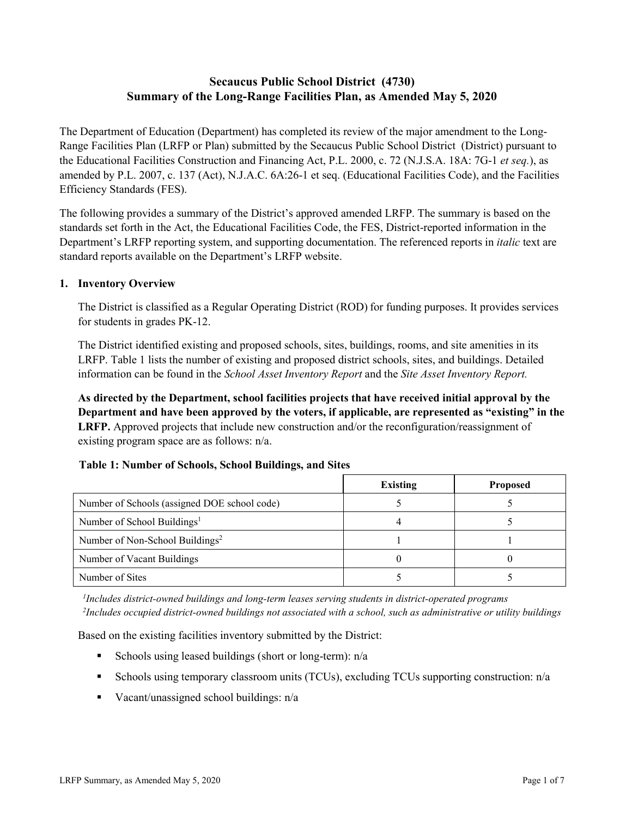# **Secaucus Public School District (4730) Summary of the Long-Range Facilities Plan, as Amended May 5, 2020**

The Department of Education (Department) has completed its review of the major amendment to the Long-Range Facilities Plan (LRFP or Plan) submitted by the Secaucus Public School District (District) pursuant to the Educational Facilities Construction and Financing Act, P.L. 2000, c. 72 (N.J.S.A. 18A: 7G-1 *et seq.*), as amended by P.L. 2007, c. 137 (Act), N.J.A.C. 6A:26-1 et seq. (Educational Facilities Code), and the Facilities Efficiency Standards (FES).

The following provides a summary of the District's approved amended LRFP. The summary is based on the standards set forth in the Act, the Educational Facilities Code, the FES, District-reported information in the Department's LRFP reporting system, and supporting documentation. The referenced reports in *italic* text are standard reports available on the Department's LRFP website.

### **1. Inventory Overview**

The District is classified as a Regular Operating District (ROD) for funding purposes. It provides services for students in grades PK-12.

The District identified existing and proposed schools, sites, buildings, rooms, and site amenities in its LRFP. Table 1 lists the number of existing and proposed district schools, sites, and buildings. Detailed information can be found in the *School Asset Inventory Report* and the *Site Asset Inventory Report.*

**As directed by the Department, school facilities projects that have received initial approval by the Department and have been approved by the voters, if applicable, are represented as "existing" in the LRFP.** Approved projects that include new construction and/or the reconfiguration/reassignment of existing program space are as follows: n/a.

# **Table 1: Number of Schools, School Buildings, and Sites**

|                                              | <b>Existing</b> | <b>Proposed</b> |
|----------------------------------------------|-----------------|-----------------|
| Number of Schools (assigned DOE school code) |                 |                 |
| Number of School Buildings <sup>1</sup>      |                 |                 |
| Number of Non-School Buildings <sup>2</sup>  |                 |                 |
| Number of Vacant Buildings                   |                 |                 |
| Number of Sites                              |                 |                 |

*1 Includes district-owned buildings and long-term leases serving students in district-operated programs 2 Includes occupied district-owned buildings not associated with a school, such as administrative or utility buildings*

Based on the existing facilities inventory submitted by the District:

- Schools using leased buildings (short or long-term):  $n/a$
- Schools using temporary classroom units (TCUs), excluding TCUs supporting construction: n/a
- Vacant/unassigned school buildings:  $n/a$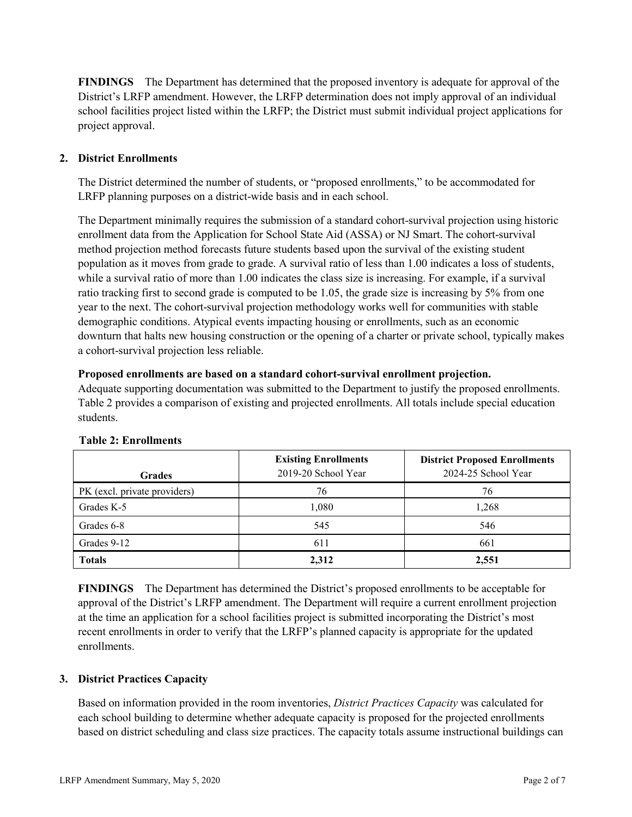**FINDINGS** The Department has determined that the proposed inventory is adequate for approval of the District's LRFP amendment. However, the LRFP determination does not imply approval of an individual school facilities project listed within the LRFP; the District must submit individual project applications for project approval.

# **2. District Enrollments**

The District determined the number of students, or "proposed enrollments," to be accommodated for LRFP planning purposes on a district-wide basis and in each school.

The Department minimally requires the submission of a standard cohort-survival projection using historic enrollment data from the Application for School State Aid (ASSA) or NJ Smart. The cohort-survival method projection method forecasts future students based upon the survival of the existing student population as it moves from grade to grade. A survival ratio of less than 1.00 indicates a loss of students, while a survival ratio of more than 1.00 indicates the class size is increasing. For example, if a survival ratio tracking first to second grade is computed to be 1.05, the grade size is increasing by 5% from one year to the next. The cohort-survival projection methodology works well for communities with stable demographic conditions. Atypical events impacting housing or enrollments, such as an economic downturn that halts new housing construction or the opening of a charter or private school, typically makes a cohort-survival projection less reliable.

#### **Proposed enrollments are based on a standard cohort-survival enrollment projection.**

Adequate supporting documentation was submitted to the Department to justify the proposed enrollments. Table 2 provides a comparison of existing and projected enrollments. All totals include special education students.

| <b>Grades</b>                | <b>Existing Enrollments</b><br>2019-20 School Year | <b>District Proposed Enrollments</b><br>2024-25 School Year |
|------------------------------|----------------------------------------------------|-------------------------------------------------------------|
| PK (excl. private providers) | 76                                                 | 76                                                          |
| Grades K-5                   | 1,080                                              | 1,268                                                       |
| Grades 6-8                   | 545                                                | 546                                                         |
| Grades 9-12                  | 611                                                | 661                                                         |
| <b>Totals</b>                | 2,312                                              | 2,551                                                       |

#### **Table 2: Enrollments**

**FINDINGS** The Department has determined the District's proposed enrollments to be acceptable for approval of the District's LRFP amendment. The Department will require a current enrollment projection at the time an application for a school facilities project is submitted incorporating the District's most recent enrollments in order to verify that the LRFP's planned capacity is appropriate for the updated enrollments.

#### **3. District Practices Capacity**

Based on information provided in the room inventories, *District Practices Capacity* was calculated for each school building to determine whether adequate capacity is proposed for the projected enrollments based on district scheduling and class size practices. The capacity totals assume instructional buildings can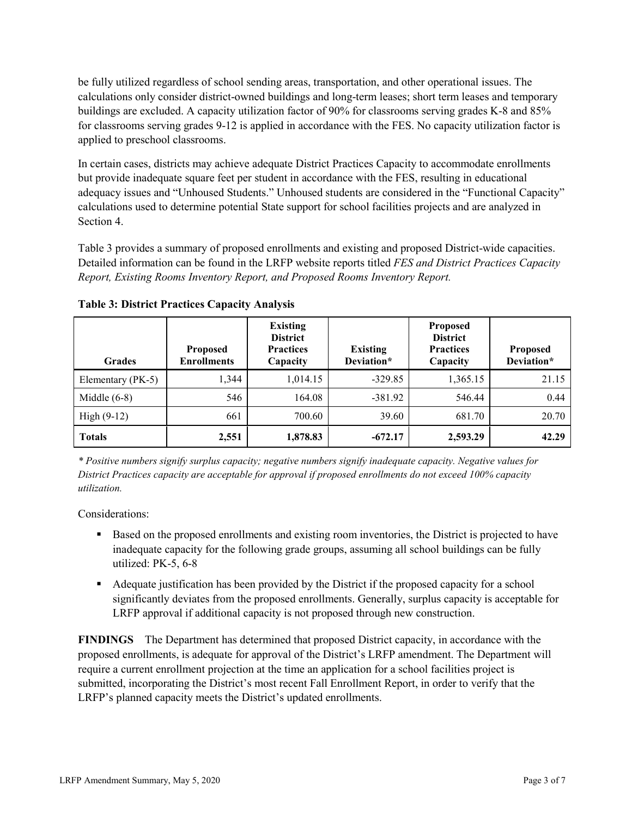be fully utilized regardless of school sending areas, transportation, and other operational issues. The calculations only consider district-owned buildings and long-term leases; short term leases and temporary buildings are excluded. A capacity utilization factor of 90% for classrooms serving grades K-8 and 85% for classrooms serving grades 9-12 is applied in accordance with the FES. No capacity utilization factor is applied to preschool classrooms.

In certain cases, districts may achieve adequate District Practices Capacity to accommodate enrollments but provide inadequate square feet per student in accordance with the FES, resulting in educational adequacy issues and "Unhoused Students." Unhoused students are considered in the "Functional Capacity" calculations used to determine potential State support for school facilities projects and are analyzed in Section 4.

Table 3 provides a summary of proposed enrollments and existing and proposed District-wide capacities. Detailed information can be found in the LRFP website reports titled *FES and District Practices Capacity Report, Existing Rooms Inventory Report, and Proposed Rooms Inventory Report.*

| <b>Grades</b>     | <b>Proposed</b><br><b>Enrollments</b> | <b>Existing</b><br><b>District</b><br><b>Practices</b><br>Capacity | <b>Existing</b><br>Deviation* | <b>Proposed</b><br><b>District</b><br><b>Practices</b><br>Capacity | Proposed<br>Deviation* |
|-------------------|---------------------------------------|--------------------------------------------------------------------|-------------------------------|--------------------------------------------------------------------|------------------------|
| Elementary (PK-5) | 1.344                                 | 1,014.15                                                           | $-329.85$                     | 1,365.15                                                           | 21.15                  |
| Middle $(6-8)$    | 546                                   | 164.08                                                             | $-381.92$                     | 546.44                                                             | 0.44                   |
| High $(9-12)$     | 661                                   | 700.60                                                             | 39.60                         | 681.70                                                             | 20.70                  |
| <b>Totals</b>     | 2,551                                 | 1,878.83                                                           | $-672.17$                     | 2,593.29                                                           | 42.29                  |

**Table 3: District Practices Capacity Analysis**

*\* Positive numbers signify surplus capacity; negative numbers signify inadequate capacity. Negative values for District Practices capacity are acceptable for approval if proposed enrollments do not exceed 100% capacity utilization.*

Considerations:

- **Based on the proposed enrollments and existing room inventories, the District is projected to have** inadequate capacity for the following grade groups, assuming all school buildings can be fully utilized: PK-5, 6-8
- Adequate justification has been provided by the District if the proposed capacity for a school significantly deviates from the proposed enrollments. Generally, surplus capacity is acceptable for LRFP approval if additional capacity is not proposed through new construction.

**FINDINGS**The Department has determined that proposed District capacity, in accordance with the proposed enrollments, is adequate for approval of the District's LRFP amendment. The Department will require a current enrollment projection at the time an application for a school facilities project is submitted, incorporating the District's most recent Fall Enrollment Report, in order to verify that the LRFP's planned capacity meets the District's updated enrollments.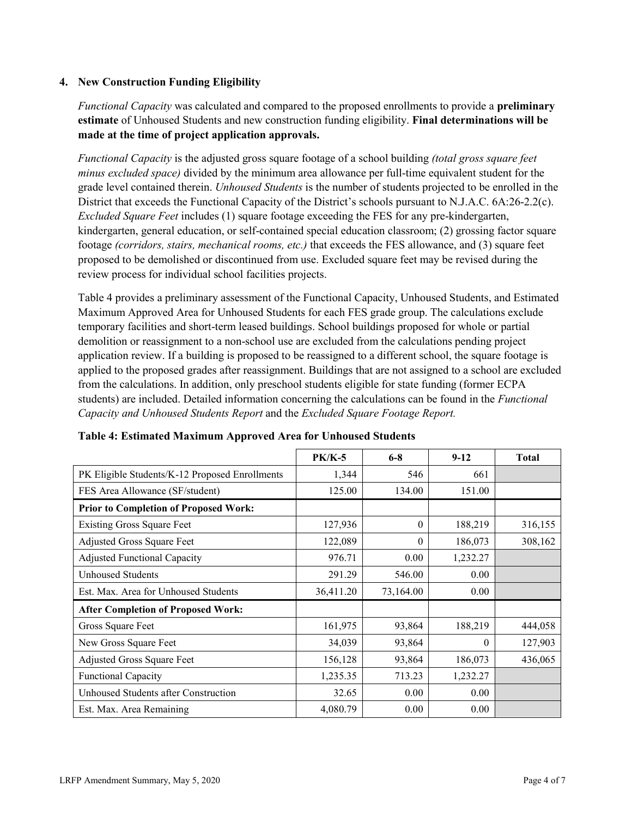### **4. New Construction Funding Eligibility**

*Functional Capacity* was calculated and compared to the proposed enrollments to provide a **preliminary estimate** of Unhoused Students and new construction funding eligibility. **Final determinations will be made at the time of project application approvals.**

*Functional Capacity* is the adjusted gross square footage of a school building *(total gross square feet minus excluded space)* divided by the minimum area allowance per full-time equivalent student for the grade level contained therein. *Unhoused Students* is the number of students projected to be enrolled in the District that exceeds the Functional Capacity of the District's schools pursuant to N.J.A.C. 6A:26-2.2(c). *Excluded Square Feet* includes (1) square footage exceeding the FES for any pre-kindergarten, kindergarten, general education, or self-contained special education classroom; (2) grossing factor square footage *(corridors, stairs, mechanical rooms, etc.)* that exceeds the FES allowance, and (3) square feet proposed to be demolished or discontinued from use. Excluded square feet may be revised during the review process for individual school facilities projects.

Table 4 provides a preliminary assessment of the Functional Capacity, Unhoused Students, and Estimated Maximum Approved Area for Unhoused Students for each FES grade group. The calculations exclude temporary facilities and short-term leased buildings. School buildings proposed for whole or partial demolition or reassignment to a non-school use are excluded from the calculations pending project application review. If a building is proposed to be reassigned to a different school, the square footage is applied to the proposed grades after reassignment. Buildings that are not assigned to a school are excluded from the calculations. In addition, only preschool students eligible for state funding (former ECPA students) are included. Detailed information concerning the calculations can be found in the *Functional Capacity and Unhoused Students Report* and the *Excluded Square Footage Report.*

|                                                | <b>PK/K-5</b> | $6 - 8$   | $9 - 12$ | <b>Total</b> |
|------------------------------------------------|---------------|-----------|----------|--------------|
| PK Eligible Students/K-12 Proposed Enrollments | 1,344         | 546       | 661      |              |
| FES Area Allowance (SF/student)                | 125.00        | 134.00    | 151.00   |              |
| <b>Prior to Completion of Proposed Work:</b>   |               |           |          |              |
| <b>Existing Gross Square Feet</b>              | 127,936       | $\theta$  | 188,219  | 316,155      |
| Adjusted Gross Square Feet                     | 122,089       | 0         | 186,073  | 308,162      |
| <b>Adjusted Functional Capacity</b>            | 976.71        | 0.00      | 1,232.27 |              |
| <b>Unhoused Students</b>                       | 291.29        | 546.00    | 0.00     |              |
| Est. Max. Area for Unhoused Students           | 36,411.20     | 73,164.00 | 0.00     |              |
| <b>After Completion of Proposed Work:</b>      |               |           |          |              |
| Gross Square Feet                              | 161,975       | 93,864    | 188,219  | 444,058      |
| New Gross Square Feet                          | 34,039        | 93,864    | $\Omega$ | 127,903      |
| Adjusted Gross Square Feet                     | 156,128       | 93,864    | 186,073  | 436,065      |
| Functional Capacity                            | 1,235.35      | 713.23    | 1,232.27 |              |
| Unhoused Students after Construction           | 32.65         | 0.00      | 0.00     |              |
| Est. Max. Area Remaining                       | 4,080.79      | 0.00      | 0.00     |              |

| Table 4: Estimated Maximum Approved Area for Unhoused Students |  |  |
|----------------------------------------------------------------|--|--|
|----------------------------------------------------------------|--|--|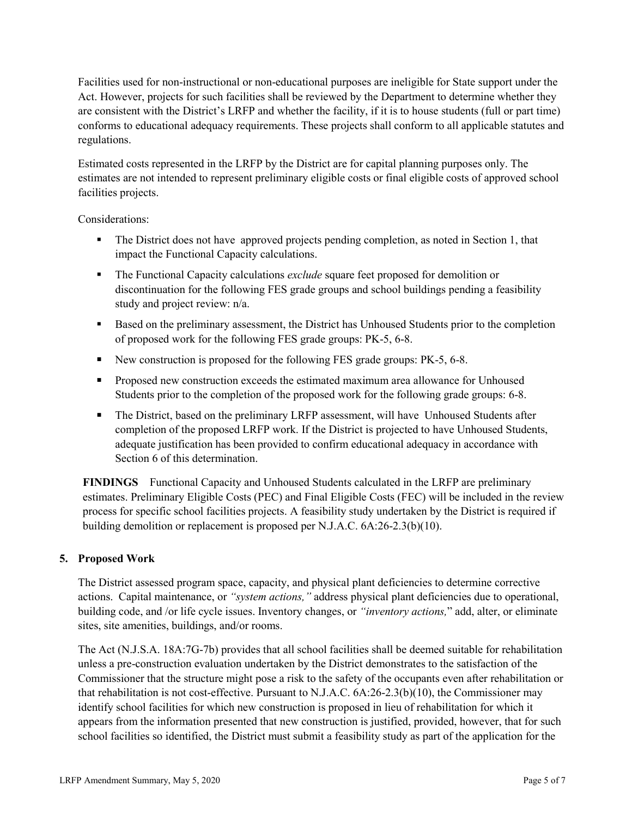Facilities used for non-instructional or non-educational purposes are ineligible for State support under the Act. However, projects for such facilities shall be reviewed by the Department to determine whether they are consistent with the District's LRFP and whether the facility, if it is to house students (full or part time) conforms to educational adequacy requirements. These projects shall conform to all applicable statutes and regulations.

Estimated costs represented in the LRFP by the District are for capital planning purposes only. The estimates are not intended to represent preliminary eligible costs or final eligible costs of approved school facilities projects.

Considerations:

- The District does not have approved projects pending completion, as noted in Section 1, that impact the Functional Capacity calculations.
- The Functional Capacity calculations *exclude* square feet proposed for demolition or discontinuation for the following FES grade groups and school buildings pending a feasibility study and project review: n/a.
- Based on the preliminary assessment, the District has Unhoused Students prior to the completion of proposed work for the following FES grade groups: PK-5, 6-8.
- New construction is proposed for the following FES grade groups: PK-5, 6-8.
- **Proposed new construction exceeds the estimated maximum area allowance for Unhoused** Students prior to the completion of the proposed work for the following grade groups: 6-8.
- The District, based on the preliminary LRFP assessment, will have Unhoused Students after completion of the proposed LRFP work. If the District is projected to have Unhoused Students, adequate justification has been provided to confirm educational adequacy in accordance with Section 6 of this determination.

**FINDINGS** Functional Capacity and Unhoused Students calculated in the LRFP are preliminary estimates. Preliminary Eligible Costs (PEC) and Final Eligible Costs (FEC) will be included in the review process for specific school facilities projects. A feasibility study undertaken by the District is required if building demolition or replacement is proposed per N.J.A.C. 6A:26-2.3(b)(10).

# **5. Proposed Work**

The District assessed program space, capacity, and physical plant deficiencies to determine corrective actions. Capital maintenance, or *"system actions,"* address physical plant deficiencies due to operational, building code, and /or life cycle issues. Inventory changes, or *"inventory actions,*" add, alter, or eliminate sites, site amenities, buildings, and/or rooms.

The Act (N.J.S.A. 18A:7G-7b) provides that all school facilities shall be deemed suitable for rehabilitation unless a pre-construction evaluation undertaken by the District demonstrates to the satisfaction of the Commissioner that the structure might pose a risk to the safety of the occupants even after rehabilitation or that rehabilitation is not cost-effective. Pursuant to N.J.A.C. 6A:26-2.3(b)(10), the Commissioner may identify school facilities for which new construction is proposed in lieu of rehabilitation for which it appears from the information presented that new construction is justified, provided, however, that for such school facilities so identified, the District must submit a feasibility study as part of the application for the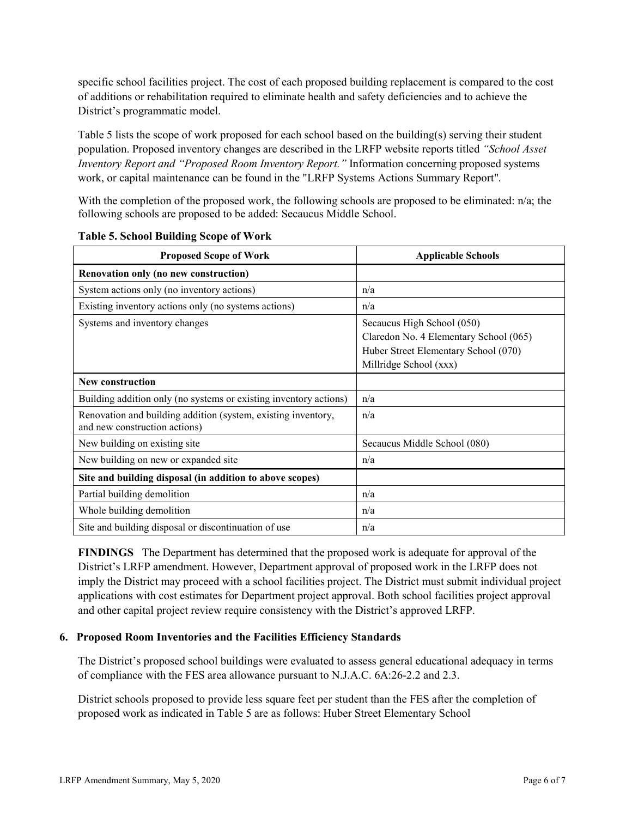specific school facilities project. The cost of each proposed building replacement is compared to the cost of additions or rehabilitation required to eliminate health and safety deficiencies and to achieve the District's programmatic model.

Table 5 lists the scope of work proposed for each school based on the building(s) serving their student population. Proposed inventory changes are described in the LRFP website reports titled *"School Asset Inventory Report and "Proposed Room Inventory Report."* Information concerning proposed systems work, or capital maintenance can be found in the "LRFP Systems Actions Summary Report".

With the completion of the proposed work, the following schools are proposed to be eliminated: n/a; the following schools are proposed to be added: Secaucus Middle School.

| <b>Proposed Scope of Work</b>                                                                  | <b>Applicable Schools</b>                                                                                                              |
|------------------------------------------------------------------------------------------------|----------------------------------------------------------------------------------------------------------------------------------------|
| Renovation only (no new construction)                                                          |                                                                                                                                        |
| System actions only (no inventory actions)                                                     | n/a                                                                                                                                    |
| Existing inventory actions only (no systems actions)                                           | n/a                                                                                                                                    |
| Systems and inventory changes                                                                  | Secaucus High School (050)<br>Claredon No. 4 Elementary School (065)<br>Huber Street Elementary School (070)<br>Millridge School (xxx) |
| New construction                                                                               |                                                                                                                                        |
| Building addition only (no systems or existing inventory actions)                              | n/a                                                                                                                                    |
| Renovation and building addition (system, existing inventory,<br>and new construction actions) | n/a                                                                                                                                    |
| New building on existing site                                                                  | Secaucus Middle School (080)                                                                                                           |
| New building on new or expanded site                                                           | n/a                                                                                                                                    |
| Site and building disposal (in addition to above scopes)                                       |                                                                                                                                        |
| Partial building demolition                                                                    | n/a                                                                                                                                    |
| Whole building demolition                                                                      | n/a                                                                                                                                    |
| Site and building disposal or discontinuation of use                                           | n/a                                                                                                                                    |

|  | <b>Table 5. School Building Scope of Work</b> |  |  |
|--|-----------------------------------------------|--|--|
|--|-----------------------------------------------|--|--|

**FINDINGS** The Department has determined that the proposed work is adequate for approval of the District's LRFP amendment. However, Department approval of proposed work in the LRFP does not imply the District may proceed with a school facilities project. The District must submit individual project applications with cost estimates for Department project approval. Both school facilities project approval and other capital project review require consistency with the District's approved LRFP.

#### **6. Proposed Room Inventories and the Facilities Efficiency Standards**

The District's proposed school buildings were evaluated to assess general educational adequacy in terms of compliance with the FES area allowance pursuant to N.J.A.C. 6A:26-2.2 and 2.3.

District schools proposed to provide less square feet per student than the FES after the completion of proposed work as indicated in Table 5 are as follows: Huber Street Elementary School